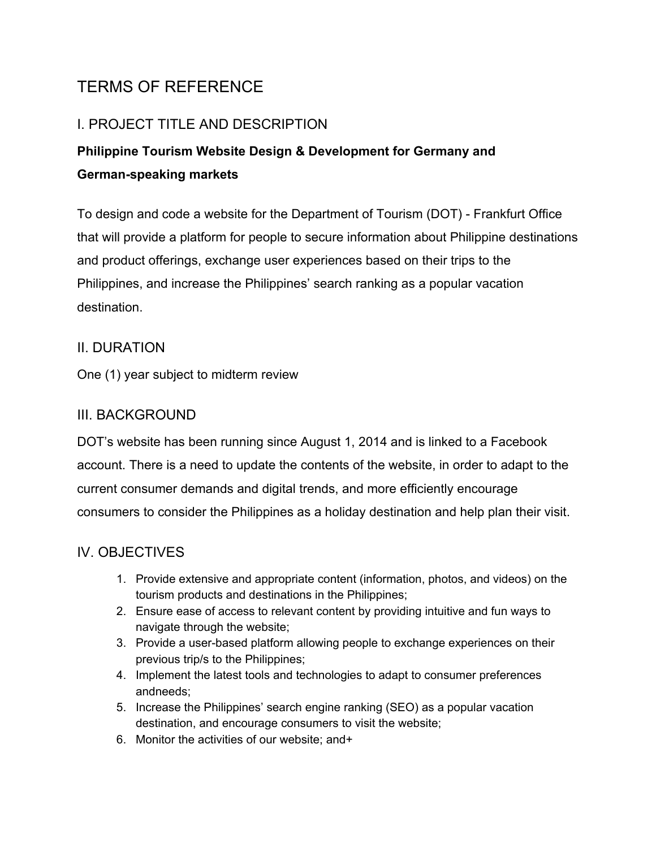# TERMS OF REFERENCE

# I. PROJECT TITLE AND DESCRIPTION

# **Philippine Tourism Website Design & Development for Germany and German-speaking markets**

To design and code a website for the Department of Tourism (DOT) - Frankfurt Office that will provide a platform for people to secure information about Philippine destinations and product offerings, exchange user experiences based on their trips to the Philippines, and increase the Philippines' search ranking as a popular vacation destination.

## II. DURATION

One (1) year subject to midterm review

## III. BACKGROUND

DOT's website has been running since August 1, 2014 and is linked to a Facebook account. There is a need to update the contents of the website, in order to adapt to the current consumer demands and digital trends, and more efficiently encourage consumers to consider the Philippines as a holiday destination and help plan their visit.

# IV. OBJECTIVES

- 1. Provide extensive and appropriate content (information, photos, and videos) on the tourism products and destinations in the Philippines;
- 2. Ensure ease of access to relevant content by providing intuitive and fun ways to navigate through the website;
- 3. Provide a user-based platform allowing people to exchange experiences on their previous trip/s to the Philippines;
- 4. Implement the latest tools and technologies to adapt to consumer preferences andneeds;
- 5. Increase the Philippines' search engine ranking (SEO) as a popular vacation destination, and encourage consumers to visit the website;
- 6. Monitor the activities of our website; and+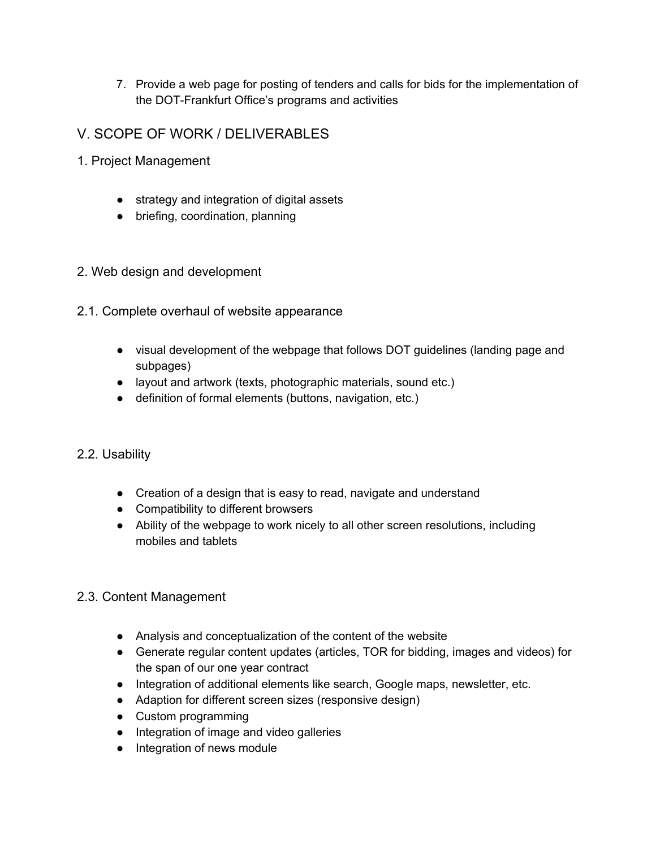- 7. Provide a web page for posting of tenders and calls for bids for the implementation of the DOT-Frankfurt Office's programs and activities
- V. SCOPE OF WORK / DELIVERABLES
- 1. Project Management
	- strategy and integration of digital assets
	- briefing, coordination, planning
- 2. Web design and development
- 2.1. Complete overhaul of website appearance
	- visual development of the webpage that follows DOT guidelines (landing page and subpages)
	- layout and artwork (texts, photographic materials, sound etc.)
	- definition of formal elements (buttons, navigation, etc.)

## 2.2. Usability

- Creation of a design that is easy to read, navigate and understand
- Compatibility to different browsers
- Ability of the webpage to work nicely to all other screen resolutions, including mobiles and tablets

#### 2.3. Content Management

- Analysis and conceptualization of the content of the website
- Generate regular content updates (articles, TOR for bidding, images and videos) for the span of our one year contract
- Integration of additional elements like search, Google maps, newsletter, etc.
- Adaption for different screen sizes (responsive design)
- Custom programming
- Integration of image and video galleries
- Integration of news module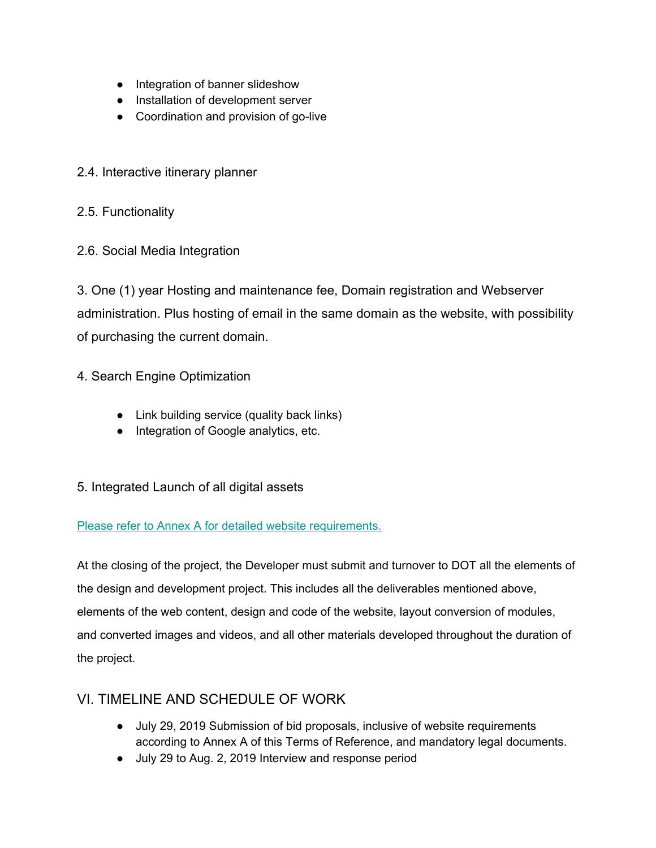- Integration of banner slideshow
- Installation of development server
- Coordination and provision of go-live
- 2.4. Interactive itinerary planner
- 2.5. Functionality
- 2.6. Social Media Integration

3. One (1) year Hosting and maintenance fee, Domain registration and Webserver administration. Plus hosting of email in the same domain as the website, with possibility of purchasing the current domain.

- 4. Search Engine Optimization
	- Link building service (quality back links)
	- Integration of Google analytics, etc.
- 5. Integrated Launch of all digital assets

#### Please refer to Annex A for detailed website [requirements.](http://www.morefunphilippines.de/fileadmin/bekanntmachungen/Ausschreibungen/ANNEX_A_website_development_2019.pdf)

At the closing of the project, the Developer must submit and turnover to DOT all the elements of the design and development project. This includes all the deliverables mentioned above, elements of the web content, design and code of the website, layout conversion of modules, and converted images and videos, and all other materials developed throughout the duration of the project.

## VI. TIMELINE AND SCHEDULE OF WORK

- July 29, 2019 Submission of bid proposals, inclusive of website requirements according to Annex A of this Terms of Reference, and mandatory legal documents.
- July 29 to Aug. 2, 2019 Interview and response period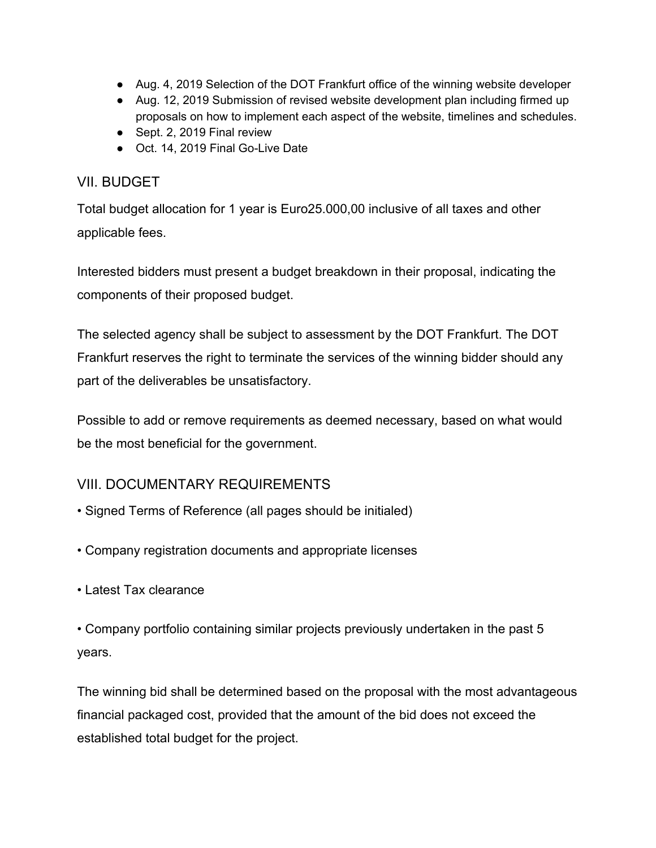- Aug. 4, 2019 Selection of the DOT Frankfurt office of the winning website developer
- Aug. 12, 2019 Submission of revised website development plan including firmed up proposals on how to implement each aspect of the website, timelines and schedules.
- Sept. 2, 2019 Final review
- Oct. 14, 2019 Final Go-Live Date

# VII. BUDGET

Total budget allocation for 1 year is Euro25.000,00 inclusive of all taxes and other applicable fees.

Interested bidders must present a budget breakdown in their proposal, indicating the components of their proposed budget.

The selected agency shall be subject to assessment by the DOT Frankfurt. The DOT Frankfurt reserves the right to terminate the services of the winning bidder should any part of the deliverables be unsatisfactory.

Possible to add or remove requirements as deemed necessary, based on what would be the most beneficial for the government.

# VIII. DOCUMENTARY REQUIREMENTS

- Signed Terms of Reference (all pages should be initialed)
- Company registration documents and appropriate licenses
- Latest Tax clearance

• Company portfolio containing similar projects previously undertaken in the past 5 years.

The winning bid shall be determined based on the proposal with the most advantageous financial packaged cost, provided that the amount of the bid does not exceed the established total budget for the project.